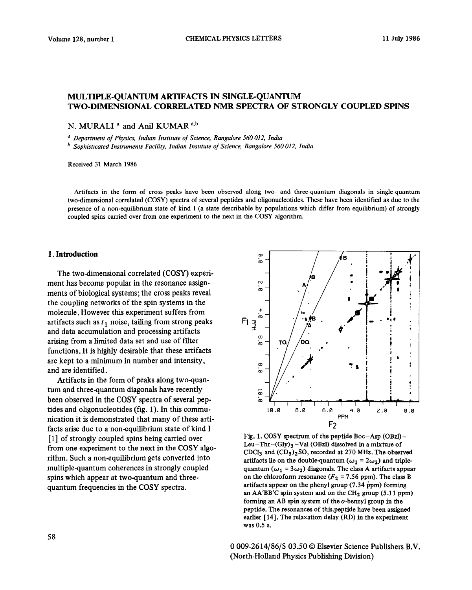# **MULTIPLE-QUANTUM ARTIFACTS IN SINGLEQUANTUM TWO-DIMENSIONAL CORRELATED NMR SPECTRA OF STRONGLY COUPLED SPINS**

N. MURALI<sup>a</sup> and Anil KUMAR<sup>a,b</sup>

a *Department of Physics, Indian Institute of Science, Bangalore 560 012, India* 

<sup>*b</sup> Sophisticated Instruments Facility, Indian Institute of Science, Bangalore 560 012, India</sup>* 

Received 31 March 1986

Artifacts in the form of cross peaks have been observed along two- and three-quantum diagonals in single-quantum two-dimensional correlated (COW) spectra of several peptides and oligonucleotides. These have been identified as due to the presence of a non-equilibrium state of kind I (a state describable by populations which differ from equilibrium) of strongly coupled spins carried over from one experiment to the next in the COSY algorithm.

### **1. Introduction metallicity is a set of the set of the set of the set of the set of the set of the set of the set of the set of the set of the set of the set of the set of the set of the set of the set of the set of the s**

The two-dimensional correlated (COSY) experiment has become popular in the resonance assignments of biological systems; the cross peaks reveal the coupling networks of the spin systems in the molecule. However this experiment suffers from artifacts such as  $t_1$  noise, tailing from strong peaks and data accumulation and processing artifacts arising from a limited data set and use of filter functions. It is highly desirable that these artifacts are kept to a minimum in number and intensity, and are identified.

Artifacts in the form of peaks along two-quantum and three-quantum diagonals have recently been observed in the COSY spectra of several peptides and oligonucleotides (fig. 1). In this communication it is demonstrated that many of these artifacts arise due to a non-equilibrium state of kind I [l] of strongly coupled spins being carried over from one experiment to the next in the COSY algorithm. Such a non-equilibrium gets converted into multiple-quantum coherences in strongly coupled spins which appear at two-quantum and threequantum frequencies in the COSY spectra.



Fig. 1. COSY spectrum of the peptide Boc-Asp (OBzl)- Leu-Thr-(Gly)s -Val (OBzl) dissolved in a mixture of CDCl<sub>3</sub> and  $(CD_3)_2$ SO, recorded at 270 MHz. The observed artifacts lie on the double-quantum ( $\omega_1 = 2\omega_2$ ) and triplequantum ( $\omega_1 = 3\omega_2$ ) diagonals. The class A artifacts appear on the chloroform resonance  $(F_2 = 7.56$  ppm). The class B artifacts appear on the phenyl group (7.34 ppm) forming an  $AA'BB'C$  spin system and on the  $CH<sub>2</sub>$  group (5.11 ppm) forming an AB spin system of the  $o$ -benzyl group in the peptide. The resonances of this.peptide have been assigned earlier [14]. The relaxation delay (RD) in the experiment was 0.5 s.

0 009-2614/86/\$ 03.50 © Elsevier Science Publishers B.V. (North-Holland Physics Publishing Division)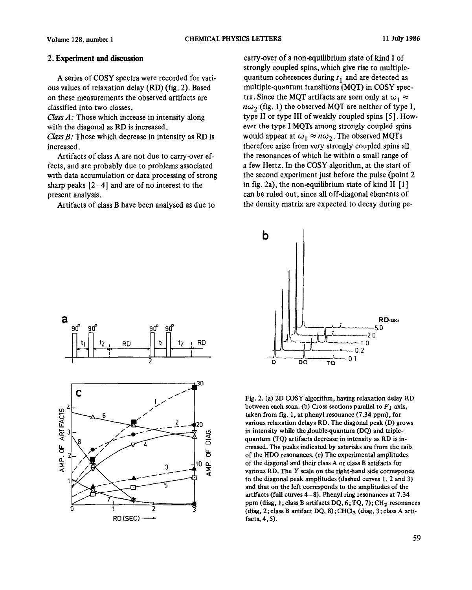## **2. Experiment and discussion**

A series of COSY spectra were recorded for various values of relaxation delay (RD) (fig. 2). Based on these measurements the observed artifacts are classified into two classes.

*Class A:* Those which increase in intensity along with the diagonal as RD is increased.

Class *B:* Those which decrease in intensity as RD is increased.

Artifacts of class A are not due to carry-over effects, and are probably due to problems associated with data accumulation or data processing of strong sharp peaks [2-41 and are of no interest to the present analysis.

Artifacts of class B have been analysed as due to

carry-over of a non-equilibrium state of kind I of strongly coupled spins, which give rise to multiplequantum coherences during  $t_1$  and are detected as multiple-quantum transitions (MQT) in COSY spectra. Since the MQT artifacts are seen only at  $\omega_1 \approx$  $n\omega_2$  (fig. 1) the observed MQT are neither of type I, type II or type III of weakly coupled spins [5]. However the type I MQTs among strongly coupled spins would appear at  $\omega_1 \approx n \omega_2$ . The observed MQTs therefore arise from very strongly coupled spins all the resonances of which lie within a small range of a few Hertz. In the COSY algorithm, at the start of the second experiment just before the pulse (point 2 in fig. 2a), the non-equilibrium state of kind  $II \, [1]$ can be ruled out, since all off-diagonal elements of the density matrix are expected to decay during pe-





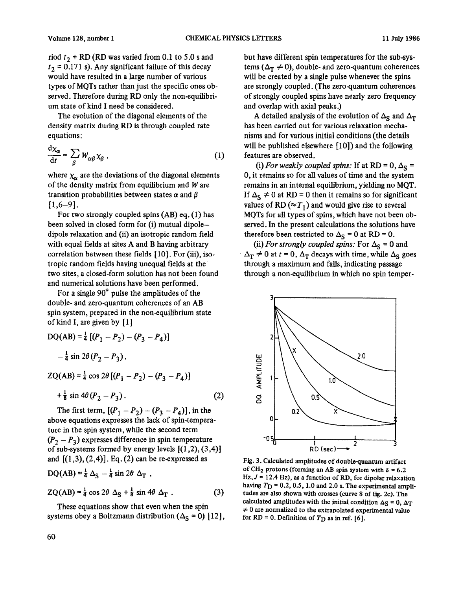would have resulted in a large number of various will be created by a single pulse whenever the spins um state of kind I need be considered.

The evolution of the diagonal elements of the density matrix during RD is through coupled rate equations:

$$
\frac{\mathrm{d}\chi_{\alpha}}{\mathrm{d}t} = \sum_{\beta} W_{\alpha\beta} \chi_{\beta} \tag{1}
$$

where  $\chi_{\alpha}$  are the deviations of the diagonal elements of the density matrix from equilibrium and  $W$  are transition probabilities between states  $\alpha$  and  $\beta$  $[1,6-9]$ .

For two strongly coupled spins (AB) eq. (1) has been solved in closed form for (i) mutual dipoledipole relaxation and (ii) an isotropic random field with equal fields at sites A and B having arbitrary correlation between these fields [10]. For (iii), isotropic random fields having unequal fields at the. two sites, a closed-form solution has not been found and numerical solutions have been performed.

For a single 90" pulse the amplitudes of the double- and zero-quantum coherences of an AB spin system, prepared in the non-equilibrium state of kind I, are given by [l]

$$
DQ(AB) = \frac{1}{4} [(P_1 - P_2) - (P_3 - P_4)]
$$
  
-  $\frac{1}{4} \sin 2\theta (P_2 - P_3)$ ,  

$$
ZQ(AB) = \frac{1}{4} \cos 2\theta [(P_1 - P_2) - (P_3 - P_4)]
$$

$$
+\frac{1}{8}\sin 4\theta (P_2 - P_3). \tag{2}
$$

The first term,  $[(P_1 - P_2) - (P_3 - P_4)]$ , in the above equations expresses the lack of spin-temperature in the spin system, while the second term  $(P_2 - P_3)$  expresses difference in spin temperature of sub-systems formed by energy levels  $[(1,2), (3,4)]$ and  $[(1,3), (2,4)]$ . Eq. (2) can be re-expressed as  $DQ(AB) = \frac{1}{4} \Delta_S - \frac{1}{4} \sin 2\theta \Delta_T$ ,

$$
ZQ(AB) = \frac{1}{4} \cos 2\theta \Delta_S + \frac{1}{8} \sin 4\theta \Delta_T . \qquad (3)
$$

These equations show that even when the spin systems obey a Boltzmann distribution  $(\Delta_S = 0)$  [12],

riod  $t_2$  + RD (RD was varied from 0.1 to 5.0 s and but have different spin temperatures for the sub-sys $t_2 = 0.171$  s). Any significant failure of this decay tems  $(\Delta_T \neq 0)$ , double- and zero-quantum coherences types of MQTs rather than just the specific ones ob- are strongly coupled. (The zero-quantum coherences served. Therefore during RD only the non-equilibri-<br>um state of kind I need be considered. <br>and overlap with axial peaks.)

> A detailed analysis of the evolution of  $\Delta_S$  and  $\Delta_T$ has been carried out for various relaxation mechanisms and for various initial conditions (the details will be published elsewhere [10]) and the following features are observed.

> (i) For weakly coupled spins: If at RD = 0,  $\Delta_{\rm S}$  = 0, it remains so for all values of time and the system remains in an internal equilibrium, yielding no MQT. If  $\Delta_{\rm S} \neq 0$  at RD = 0 then it remains so for significant values of RD ( $\approx T_1$ ) and would give rise to several MQTs for all types of spins, which have not been observed. In the present calculations the solutions have therefore been restricted to  $\Delta_{\rm S} = 0$  at RD = 0.

> (ii) *For strongly coupled spins:* For  $\Delta_{\rm S} = 0$  and  $\Delta_{\rm T} \neq 0$  at  $t = 0$ ,  $\Delta_{\rm T}$  decays with time, while  $\Delta_{\rm S}$  goes through a maximum and falls, indicating passage through a non-equilibrium in which no spin temper-



Fig. 3. Calculated amplitudes of doublequantum artifact of CH<sub>2</sub> protons (forming an AB spin system with  $\delta = 6.2$  $Hz, J = 12.4 Hz$ , as a function of RD, for dipolar relaxation having  $T_D = 0.2, 0.5, 1.0$  and 2.0 s. The experimental amplitudes are also shown with crosses (curve 8 of fig. 2c). The calculated amplitudes with the initial condition  $\Delta$ S = 0,  $\Delta$ T  $\neq 0$  are normalized to the extrapolated experimental value for RD = 0. Definition of  $T_D$  as in ref. [6].